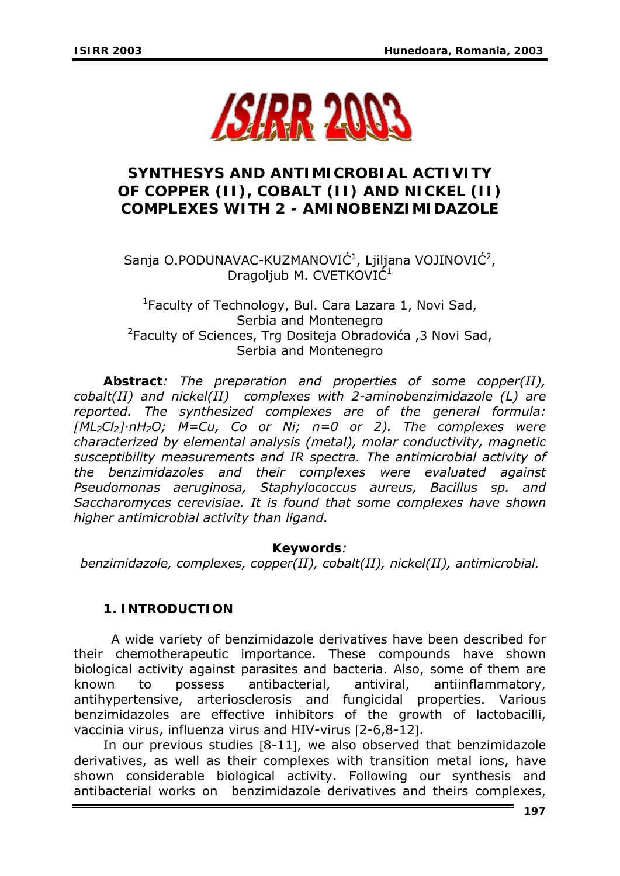

# **SYNTHESYS AND ANTIMICROBIAL ACTIVITY OF COPPER (II), COBALT (II) AND NICKEL (II) COMPLEXES WITH 2 - AMINOBENZIMIDAZOLE**

Sanja O.PODUNAVAC-KUZMANOVIĆ $^1$ , Ljiljana VOJINOVIĆ $^2$ , Dragoljub M. CVETKOVIĆ<sup>1</sup>

<sup>1</sup>Faculty of Technology, Bul. Cara Lazara 1, Novi Sad, Serbia and Montenegro 2 Faculty of Sciences, Trg Dositeja Obradovića ,3 Novi Sad, Serbia and Montenegro

*Abstract: The preparation and properties of some copper(II), cobalt(II) and nickel(II) complexes with 2-aminobenzimidazole (L) are reported. The synthesized complexes are of the general formula: [ML2Cl2]·nH2O; M=Cu, Co or Ni; n=0 or 2). The complexes were characterized by elemental analysis (metal), molar conductivity, magnetic susceptibility measurements and IR spectra. The antimicrobial activity of the benzimidazoles and their complexes were evaluated against Pseudomonas aeruginosa, Staphylococcus aureus, Bacillus sp. and Saccharomyces cerevisiae. It is found that some complexes have shown higher antimicrobial activity than ligand.* 

### *Keywords:*

*benzimidazole, complexes, copper(II), cobalt(II), nickel(II), antimicrobial.* 

# **1. INTRODUCTION**

A wide variety of benzimidazole derivatives have been described for their chemotherapeutic importance. These compounds have shown biological activity against parasites and bacteria. Also, some of them are known to possess antibacterial, antiviral, antiinflammatory, antihypertensive, arteriosclerosis and fungicidal properties. Various benzimidazoles are effective inhibitors of the growth of lactobacilli, vaccinia virus, influenza virus and HIV-virus [2-6,8-12].

In our previous studies [8-11], we also observed that benzimidazole derivatives, as well as their complexes with transition metal ions, have shown considerable biological activity. Following our synthesis and antibacterial works on benzimidazole derivatives and theirs complexes,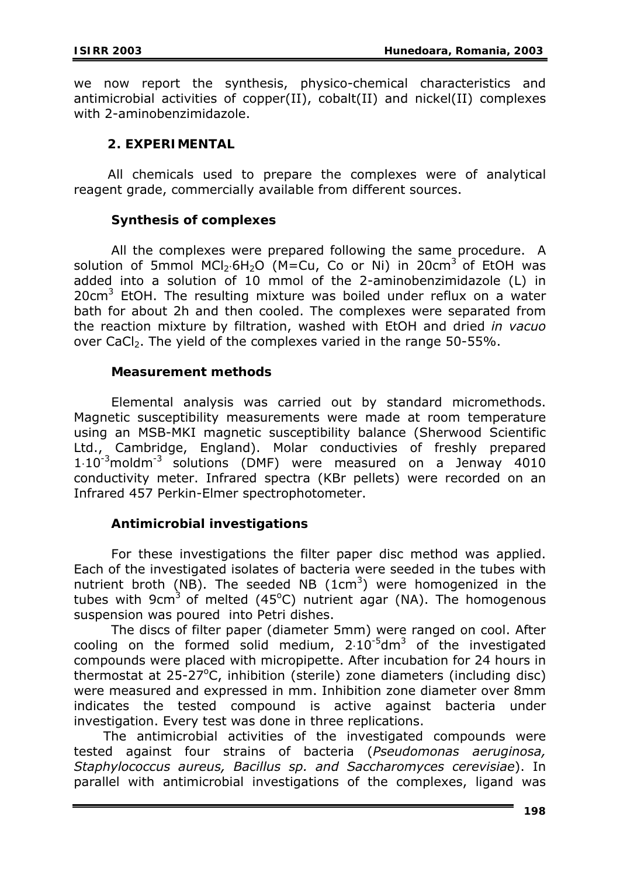we now report the synthesis, physico-chemical characteristics and antimicrobial activities of copper(II), cobalt(II) and nickel(II) complexes with 2-aminobenzimidazole.

### **2. EXPERIMENTAL**

 All chemicals used to prepare the complexes were of analytical reagent grade, commercially available from different sources.

### **Synthesis of complexes**

All the complexes were prepared following the same procedure. A solution of 5mmol MCl<sub>2</sub>⋅6H<sub>2</sub>O (M=Cu, Co or Ni) in 20cm<sup>3</sup> of EtOH was added into a solution of 10 mmol of the 2-aminobenzimidazole (L) in 20 $cm<sup>3</sup>$  EtOH. The resulting mixture was boiled under reflux on a water bath for about 2h and then cooled. The complexes were separated from the reaction mixture by filtration, washed with EtOH and dried *in vacuo* over CaCl<sub>2</sub>. The yield of the complexes varied in the range 50-55%.

### **Measurement methods**

 Elemental analysis was carried out by standard micromethods. Magnetic susceptibility measurements were made at room temperature using an MSB-MKI magnetic susceptibility balance (Sherwood Scientific Ltd., Cambridge, England). Molar conductivies of freshly prepared  $1·10<sup>-3</sup>$ moldm<sup>-3</sup> solutions (DMF) were measured on a Jenway 4010 conductivity meter. Infrared spectra (KBr pellets) were recorded on an Infrared 457 Perkin-Elmer spectrophotometer.

# **Antimicrobial investigations**

For these investigations the filter paper disc method was applied. Each of the investigated isolates of bacteria were seeded in the tubes with nutrient broth (NB). The seeded NB  $(1cm<sup>3</sup>)$  were homogenized in the tubes with 9cm<sup>3</sup> of melted (45°C) nutrient agar (NA). The homogenous suspension was poured into Petri dishes.

The discs of filter paper (diameter 5mm) were ranged on cool. After cooling on the formed solid medium,  $2.10^{-5}$ dm<sup>3</sup> of the investigated compounds were placed with micropipette. After incubation for 24 hours in thermostat at  $25-27$ °C, inhibition (sterile) zone diameters (including disc) were measured and expressed in mm. Inhibition zone diameter over 8mm indicates the tested compound is active against bacteria under investigation. Every test was done in three replications.

The antimicrobial activities of the investigated compounds were tested against four strains of bacteria (*Pseudomonas aeruginosa, Staphylococcus aureus, Bacillus sp. and Saccharomyces cerevisiae*). In parallel with antimicrobial investigations of the complexes, ligand was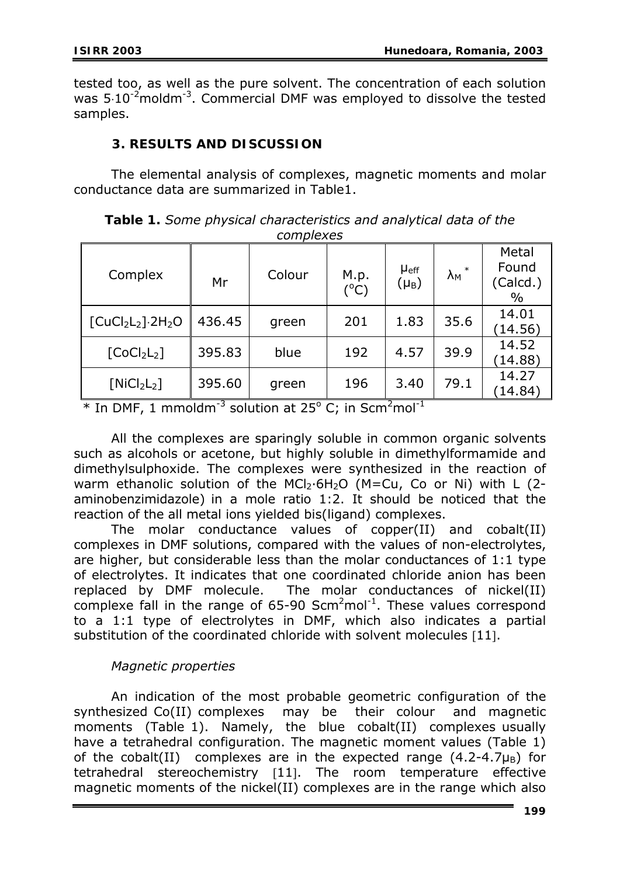tested too, as well as the pure solvent. The concentration of each solution was  $5·10^{-2}$ moldm<sup>-3</sup>. Commercial DMF was employed to dissolve the tested samples.

# **3. RESULTS AND DISCUSSION**

 The elemental analysis of complexes, magnetic moments and molar conductance data are summarized in Table1.

| <u>comprence</u>                    |        |        |                       |                                      |                                |                                    |  |  |
|-------------------------------------|--------|--------|-----------------------|--------------------------------------|--------------------------------|------------------------------------|--|--|
| Complex                             | Mr     | Colour | M.p.<br>$(^{\circ}C)$ | <b>µ</b> eff<br>$(\mu_{\mathsf{B}})$ | $\ast$<br>$\lambda_{\text{M}}$ | Metal<br>Found<br>(Calcd.)<br>$\%$ |  |  |
| $[CuCl2 L2].2H2O$                   | 436.45 | green  | 201                   | 1.83                                 | 35.6                           | 14.01<br>(14.56)                   |  |  |
| [CoCl <sub>2</sub> L <sub>2</sub> ] | 395.83 | blue   | 192                   | 4.57                                 | 39.9                           | 14.52<br>(14.88)                   |  |  |
| [NiCl <sub>2</sub> L <sub>2</sub> ] | 395.60 | green  | 196                   | 3.40                                 | 79.1                           | 14.27<br>(14.84)                   |  |  |

*Table 1. Some physical characteristics and analytical data of the complexes* 

 $*$  In DMF, 1 mmoldm<sup>-3</sup> solution at 25<sup>o</sup> C; in Scm<sup>2</sup>mol<sup>-1</sup>

 All the complexes are sparingly soluble in common organic solvents such as alcohols or acetone, but highly soluble in dimethylformamide and dimethylsulphoxide. The complexes were synthesized in the reaction of warm ethanolic solution of the MCI<sub>2</sub>·6H<sub>2</sub>O (M=Cu, Co or Ni) with L (2aminobenzimidazole) in a mole ratio 1:2. It should be noticed that the reaction of the all metal ions yielded bis(ligand) complexes.

 The molar conductance values of copper(II) and cobalt(II) complexes in DMF solutions, compared with the values of non-electrolytes, are higher, but considerable less than the molar conductances of 1:1 type of electrolytes. It indicates that one coordinated chloride anion has been replaced by DMF molecule. The molar conductances of nickel(II) complexe fall in the range of  $65-90$  Scm<sup>2</sup>mol<sup>-1</sup>. These values correspond to a 1:1 type of electrolytes in DMF, which also indicates a partial substitution of the coordinated chloride with solvent molecules [11].

# *Magnetic properties*

An indication of the most probable geometric configuration of the synthesized Co(II) complexes may be their colour and magnetic moments (Table 1). Namely, the blue cobalt(II) complexes usually have a tetrahedral configuration. The magnetic moment values (Table 1) of the cobalt(II) complexes are in the expected range  $(4.2-4.7\mu_B)$  for tetrahedral stereochemistry [11]. The room temperature effective magnetic moments of the nickel(II) complexes are in the range which also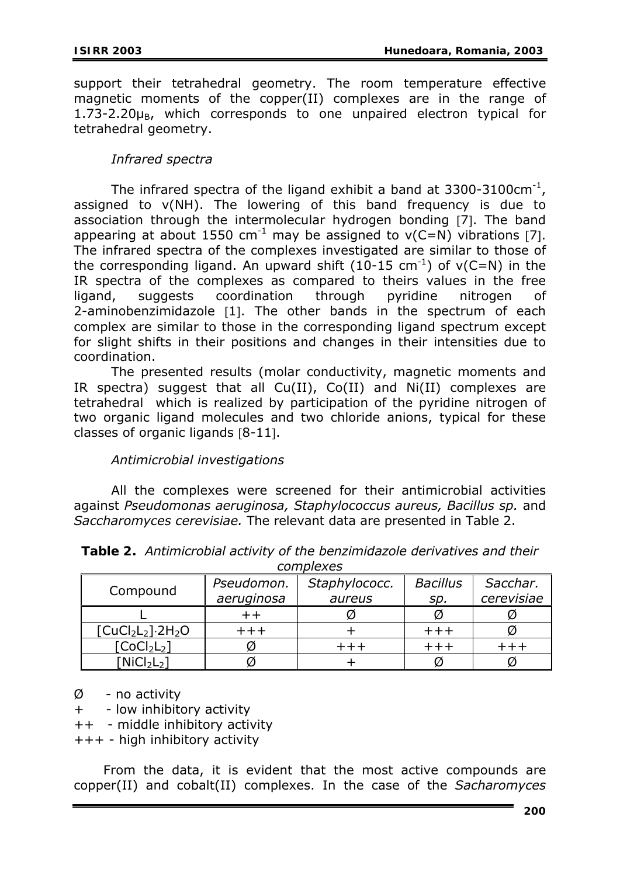support their tetrahedral geometry. The room temperature effective magnetic moments of the copper(II) complexes are in the range of  $1.73-2.20\mu_B$ , which corresponds to one unpaired electron typical for tetrahedral geometry.

# *Infrared spectra*

The infrared spectra of the ligand exhibit a band at  $3300-3100 \text{cm}^{-1}$ . assigned to ν(NH). The lowering of this band frequency is due to association through the intermolecular hydrogen bonding [7]. The band appearing at about 1550 cm<sup>-1</sup> may be assigned to  $v(C=N)$  vibrations [7]. The infrared spectra of the complexes investigated are similar to those of the corresponding ligand. An upward shift (10-15 cm<sup>-1</sup>) of  $v(C=N)$  in the IR spectra of the complexes as compared to theirs values in the free ligand, suggests coordination through pyridine nitrogen of 2-aminobenzimidazole [1]. The other bands in the spectrum of each complex are similar to those in the corresponding ligand spectrum except for slight shifts in their positions and changes in their intensities due to coordination.

 The presented results (molar conductivity, magnetic moments and IR spectra) suggest that all  $Cu(II)$ ,  $Co(II)$  and  $Ni(II)$  complexes are tetrahedral which is realized by participation of the pyridine nitrogen of two organic ligand molecules and two chloride anions, typical for these classes of organic ligands [8-11].

# *Antimicrobial investigations*

 All the complexes were screened for their antimicrobial activities against *Pseudomonas aeruginosa, Staphylococcus aureus, Bacillus sp.* and *Saccharomyces cerevisiae.* The relevant data are presented in Table 2.

| complexes                           |            |               |                 |            |  |  |  |  |  |
|-------------------------------------|------------|---------------|-----------------|------------|--|--|--|--|--|
| Compound                            | Pseudomon. | Staphylococc. | <b>Bacillus</b> | Sacchar.   |  |  |  |  |  |
|                                     | aeruginosa | aureus        | sp.             | cerevisiae |  |  |  |  |  |
|                                     |            |               |                 |            |  |  |  |  |  |
| $[CuCl2L2].2H2O$                    |            |               |                 |            |  |  |  |  |  |
| [CoCl <sub>2</sub> L <sub>2</sub> ] |            |               |                 |            |  |  |  |  |  |
| [NICJ <sub>2</sub> L <sub>2</sub> ] |            |               |                 |            |  |  |  |  |  |

*Table 2. Antimicrobial activity of the benzimidazole derivatives and their* 

 $\emptyset$  - no activity

+ - low inhibitory activity

++ - middle inhibitory activity

+++ - high inhibitory activity

From the data, it is evident that the most active compounds are copper(II) and cobalt(II) complexes. In the case of the *Sacharomyces*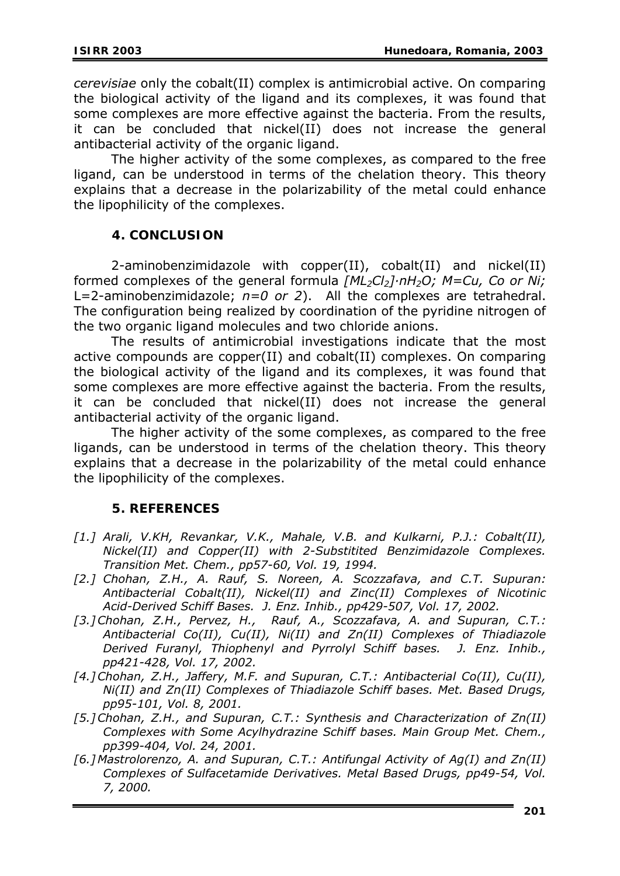*cerevisiae* only the cobalt(II) complex is antimicrobial active. On comparing the biological activity of the ligand and its complexes, it was found that some complexes are more effective against the bacteria. From the results, it can be concluded that nickel(II) does not increase the general antibacterial activity of the organic ligand.

The higher activity of the some complexes, as compared to the free ligand, can be understood in terms of the chelation theory. This theory explains that a decrease in the polarizability of the metal could enhance the lipophilicity of the complexes.

# **4. CONCLUSION**

 2-aminobenzimidazole with copper(II), cobalt(II) and nickel(II) formed complexes of the general formula *[ML2Cl2]·nH2O; M=Cu, Co or Ni;*  L=2-aminobenzimidazole; *n=0 or 2*). All the complexes are tetrahedral. The configuration being realized by coordination of the pyridine nitrogen of the two organic ligand molecules and two chloride anions.

The results of antimicrobial investigations indicate that the most active compounds are copper(II) and cobalt(II) complexes. On comparing the biological activity of the ligand and its complexes, it was found that some complexes are more effective against the bacteria. From the results, it can be concluded that nickel(II) does not increase the general antibacterial activity of the organic ligand.

The higher activity of the some complexes, as compared to the free ligands, can be understood in terms of the chelation theory. This theory explains that a decrease in the polarizability of the metal could enhance the lipophilicity of the complexes.

### **5. REFERENCES**

- *[1.] Arali, V.KH, Revankar, V.K., Mahale, V.B. and Kulkarni, P.J.: Cobalt(II), Nickel(II) and Copper(II) with 2-Substitited Benzimidazole Complexes. Transition Met. Chem., pp57-60, Vol. 19, 1994.*
- *[2.] Chohan, Z.H., A. Rauf, S. Noreen, A. Scozzafava, and C.T. Supuran: Antibacterial Cobalt(II), Nickel(II) and Zinc(II) Complexes of Nicotinic Acid-Derived Schiff Bases. J. Enz. Inhib., pp429-507, Vol. 17, 2002.*
- *[3.]Chohan, Z.H., Pervez, H., Rauf, A., Scozzafava, A. and Supuran, C.T.: Antibacterial Co(II), Cu(II), Ni(II) and Zn(II) Complexes of Thiadiazole Derived Furanyl, Thiophenyl and Pyrrolyl Schiff bases. J. Enz. Inhib., pp421-428, Vol. 17, 2002.*
- *[4.]Chohan, Z.H., Jaffery, M.F. and Supuran, C.T.: Antibacterial Co(II), Cu(II), Ni(II) and Zn(II) Complexes of Thiadiazole Schiff bases. Met. Based Drugs, pp95-101, Vol. 8, 2001.*
- *[5.]Chohan, Z.H., and Supuran, C.T.: Synthesis and Characterization of Zn(II) Complexes with Some Acylhydrazine Schiff bases. Main Group Met. Chem., pp399-404, Vol. 24, 2001.*
- *[6.] Mastrolorenzo, A. and Supuran, C.T.: Antifungal Activity of Ag(I) and Zn(II) Complexes of Sulfacetamide Derivatives. Metal Based Drugs, pp49-54, Vol. 7, 2000.*